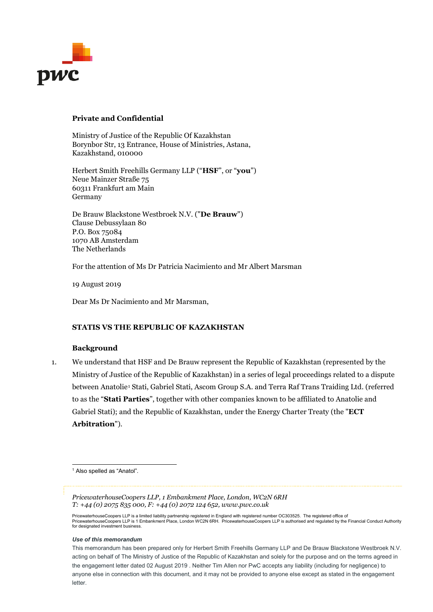

#### **Private and Confidential**

Ministry of Justice of the Republic Of Kazakhstan Borynbor Str, 13 Entrance, House of Ministries, Astana, Kazakhstand, 010000

Herbert Smith Freehills Germany LLP ("**HSF**", or "**you**") Neue Mainzer Straße 75 60311 Frankfurt am Main Germany

De Brauw Blackstone Westbroek N.V. ("**De Brauw**") Clause Debussylaan 80 P.O. Box 75084 1070 AB Amsterdam The Netherlands

For the attention of Ms Dr Patricia Nacimiento and Mr Albert Marsman

19 August 2019

Dear Ms Dr Nacimiento and Mr Marsman,

#### **STATIS VS THE REPUBLIC OF KAZAKHSTAN**

#### **Background**

1. We understand that HSF and De Brauw represent the Republic of Kazakhstan (represented by the Ministry of Justice of the Republic of Kazakhstan) in a series of legal proceedings related to a dispute between Anatolie[1](#page-0-0) Stati, Gabriel Stati, Ascom Group S.A. and Terra Raf Trans Traiding Ltd. (referred to as the "**Stati Parties**", together with other companies known to be affiliated to Anatolie and Gabriel Stati); and the Republic of Kazakhstan, under the Energy Charter Treaty (the "**ECT Arbitration**").

<span id="page-0-0"></span><sup>1</sup> Also spelled as "Anatol".

*PricewaterhouseCoopers LLP, 1 Embankment Place, London, WC2N 6RH T: +44 (0) 2075 835 000, F: +44 (0) 2072 124 652, www.pwc.co.uk*

PricewaterhouseCoopers LLP is a limited liability partnership registered in England with registered number OC303525. The registered office of<br>PricewaterhouseCoopers LLP is 1 Embankment Place, London WC2N 6RH. Pricewaterh for designated investment business.

#### *Use of this memorandum*

This memorandum has been prepared only for Herbert Smith Freehills Germany LLP and De Brauw Blackstone Westbroek N.V. acting on behalf of The Ministry of Justice of the Republic of Kazakhstan and solely for the purpose and on the terms agreed in the engagement letter dated 02 August 2019 . Neither Tim Allen nor PwC accepts any liability (including for negligence) to anyone else in connection with this document, and it may not be provided to anyone else except as stated in the engagement letter.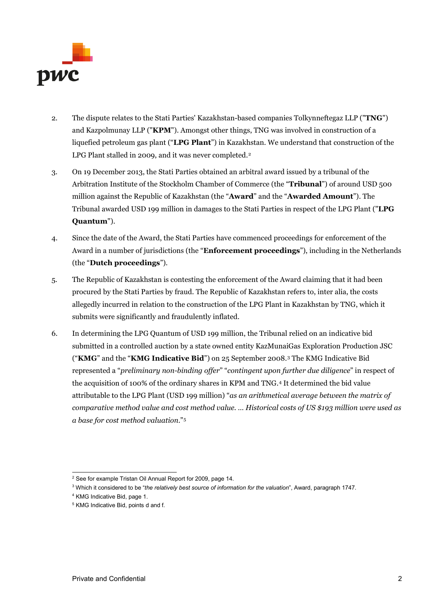

- 2. The dispute relates to the Stati Parties' Kazakhstan-based companies Tolkynneftegaz LLP ("**TNG**") and Kazpolmunay LLP ("**KPM**"). Amongst other things, TNG was involved in construction of a liquefied petroleum gas plant ("**LPG Plant**") in Kazakhstan. We understand that construction of the LPG Plant stalled in [2](#page-1-0)009, and it was never completed.<sup>2</sup>
- 3. On 19 December 2013, the Stati Parties obtained an arbitral award issued by a tribunal of the Arbitration Institute of the Stockholm Chamber of Commerce (the "**Tribunal**") of around USD 500 million against the Republic of Kazakhstan (the "**Award**" and the "**Awarded Amount**"). The Tribunal awarded USD 199 million in damages to the Stati Parties in respect of the LPG Plant ("**LPG Quantum**").
- 4. Since the date of the Award, the Stati Parties have commenced proceedings for enforcement of the Award in a number of jurisdictions (the "**Enforcement proceedings**"), including in the Netherlands (the "**Dutch proceedings**").
- 5. The Republic of Kazakhstan is contesting the enforcement of the Award claiming that it had been procured by the Stati Parties by fraud. The Republic of Kazakhstan refers to, inter alia, the costs allegedly incurred in relation to the construction of the LPG Plant in Kazakhstan by TNG, which it submits were significantly and fraudulently inflated.
- 6. In determining the LPG Quantum of USD 199 million, the Tribunal relied on an indicative bid submitted in a controlled auction by a state owned entity KazMunaiGas Exploration Production JSC ("**KMG**" and the "**KMG Indicative Bid**") on 25 September 2008.[3](#page-1-1) The KMG Indicative Bid represented a "*preliminary non-binding offer*" "*contingent upon further due diligence*" in respect of the acquisition of 100% of the ordinary shares in KPM and TNG.[4](#page-1-2) It determined the bid value attributable to the LPG Plant (USD 199 million) "*as an arithmetical average between the matrix of comparative method value and cost method value. … Historical costs of US \$193 million were used as a base for cost method valuation*.["5](#page-1-3)

<span id="page-1-1"></span><span id="page-1-0"></span><sup>&</sup>lt;sup>2</sup> See for example Tristan Oil Annual Report for 2009, page 14.

<sup>3</sup> Which it considered to be "*the relatively best source of information for the valuation*", Award, paragraph 1747.

<span id="page-1-2"></span><sup>4</sup> KMG Indicative Bid, page 1.

<span id="page-1-3"></span><sup>5</sup> KMG Indicative Bid, points d and f.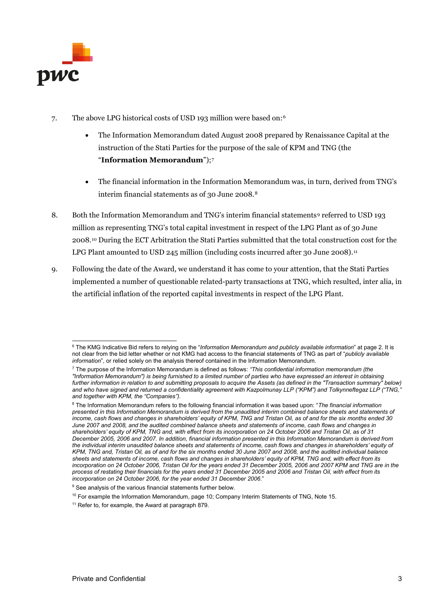

- 7. The above LPG historical costs of USD 193 million were based on:[6](#page-2-0)
	- The Information Memorandum dated August 2008 prepared by Renaissance Capital at the instruction of the Stati Parties for the purpose of the sale of KPM and TNG (the "**Information Memorandum**");[7](#page-2-1)
	- The financial information in the Information Memorandum was, in turn, derived from TNG's interim financial statements as of 30 June 2008.[8](#page-2-2)
- 8. Both the Information Memorandum and TNG's interim financial statements<sup>[9](#page-2-3)</sup> referred to USD 193 million as representing TNG's total capital investment in respect of the LPG Plant as of 30 June 2008.[10](#page-2-4) During the ECT Arbitration the Stati Parties submitted that the total construction cost for the LPG Plant amounted to USD 245 million (including costs incurred after 30 June 2008).<sup>[11](#page-2-5)</sup>
- 9. Following the date of the Award, we understand it has come to your attention, that the Stati Parties implemented a number of questionable related-party transactions at TNG, which resulted, inter alia, in the artificial inflation of the reported capital investments in respect of the LPG Plant.

<span id="page-2-0"></span> <sup>6</sup> The KMG Indicative Bid refers to relying on the "*Information Memorandum and publicly available information*" at page 2. It is not clear from the bid letter whether or not KMG had access to the financial statements of TNG as part of "*publicly available information*", or relied solely on the analysis thereof contained in the Information Memorandum.

<span id="page-2-1"></span><sup>7</sup> The purpose of the Information Memorandum is defined as follows: *"This confidential information memorandum (the "Information Memorandum") is being furnished to a limited number of parties who have expressed an interest in obtaining further information in relation to and submitting proposals to acquire the Assets (as defined in the "Transaction summary" below)*  and who have signed and returned a confidentiality agreement with Kazpolmunay LLP ("KPM") and Tolkynneftegaz LLP ("TNG, *and together with KPM, the "Companies").*

<span id="page-2-2"></span><sup>8</sup> The Information Memorandum refers to the following financial information it was based upon: "*The financial information presented in this Information Memorandum is derived from the unaudited interim combined balance sheets and statements of income, cash flows and changes in shareholders' equity of KPM, TNG and Tristan Oil, as of and for the six months ended 30 June 2007 and 2008, and the audited combined balance sheets and statements of income, cash flows and changes in shareholders' equity of KPM, TNG and, with effect from its incorporation on 24 October 2006 and Tristan Oil, as of 31 December 2005, 2006 and 2007. In addition, financial information presented in this Information Memorandum is derived from the individual interim unaudited balance sheets and statements of income, cash flows and changes in shareholders' equity of KPM, TNG and, Tristan Oil, as of and for the six months ended 30 June 2007 and 2008, and the audited individual balance sheets and statements of income, cash flows and changes in shareholders' equity of KPM, TNG and, with effect from its incorporation on 24 October 2006, Tristan Oil for the years ended 31 December 2005, 2006 and 2007 KPM and TNG are in the process of restating their financials for the years ended 31 December 2005 and 2006 and Tristan Oil, with effect from its incorporation on 24 October 2006, for the year ended 31 December 2006*."

<span id="page-2-3"></span><sup>&</sup>lt;sup>9</sup> See analysis of the various financial statements further below.

<span id="page-2-4"></span> $10$  For example the Information Memorandum, page 10; Company Interim Statements of TNG, Note 15.

<span id="page-2-5"></span><sup>&</sup>lt;sup>11</sup> Refer to, for example, the Award at paragraph 879.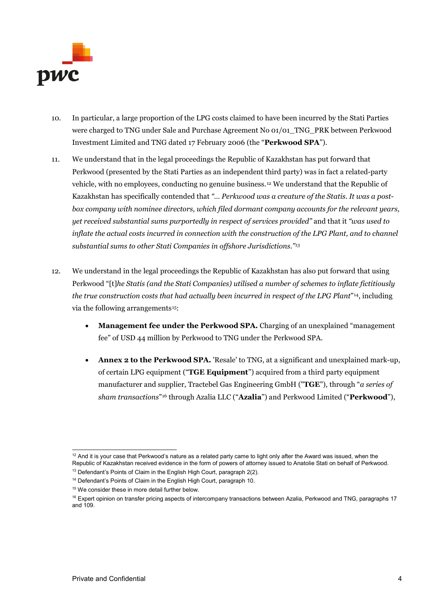

- 10. In particular, a large proportion of the LPG costs claimed to have been incurred by the Stati Parties were charged to TNG under Sale and Purchase Agreement No 01/01\_TNG\_PRK between Perkwood Investment Limited and TNG dated 17 February 2006 (the "**Perkwood SPA**").
- 11. We understand that in the legal proceedings the Republic of Kazakhstan has put forward that Perkwood (presented by the Stati Parties as an independent third party) was in fact a related-party vehicle, with no employees, conducting no genuine business.[12](#page-3-0) We understand that the Republic of Kazakhstan has specifically contended that *"… Perkwood was a creature of the Statis. It was a postbox company with nominee directors, which filed dormant company accounts for the relevant years, yet received substantial sums purportedly in respect of services provided"* and that it *"was used to inflate the actual costs incurred in connection with the construction of the LPG Plant, and to channel substantial sums to other Stati Companies in offshore Jurisdictions."[13](#page-3-1)*
- 12. We understand in the legal proceedings the Republic of Kazakhstan has also put forward that using Perkwood "[t]*he Statis (and the Stati Companies) utilised a number of schemes to inflate fictitiously the true construction costs that had actually been incurred in respect of the LPG Plant*"[14](#page-3-2), including via the following arrangements<sup>15</sup>:
	- **Management fee under the Perkwood SPA.** Charging of an unexplained "management fee" of USD 44 million by Perkwood to TNG under the Perkwood SPA.
	- **Annex 2 to the Perkwood SPA.** 'Resale' to TNG, at a significant and unexplained mark-up, of certain LPG equipment ("**TGE Equipment**") acquired from a third party equipment manufacturer and supplier, Tractebel Gas Engineering GmbH ("**TGE**"), through "*a series of sham transactions*"[16](#page-3-4) through Azalia LLC ("**Azalia**") and Perkwood Limited ("**Perkwood**"),

<span id="page-3-0"></span> $12$  And it is your case that Perkwood's nature as a related party came to light only after the Award was issued, when the Republic of Kazakhstan received evidence in the form of powers of attorney issued to Anatolie Stati on behalf of Perkwood.

<sup>&</sup>lt;sup>13</sup> Defendant's Points of Claim in the English High Court, paragraph 2(2).

<span id="page-3-2"></span><span id="page-3-1"></span><sup>&</sup>lt;sup>14</sup> Defendant's Points of Claim in the English High Court, paragraph 10.

<sup>&</sup>lt;sup>15</sup> We consider these in more detail further below.

<span id="page-3-4"></span><span id="page-3-3"></span><sup>&</sup>lt;sup>16</sup> Expert opinion on transfer pricing aspects of intercompany transactions between Azalia, Perkwood and TNG, paragraphs 17 and 109.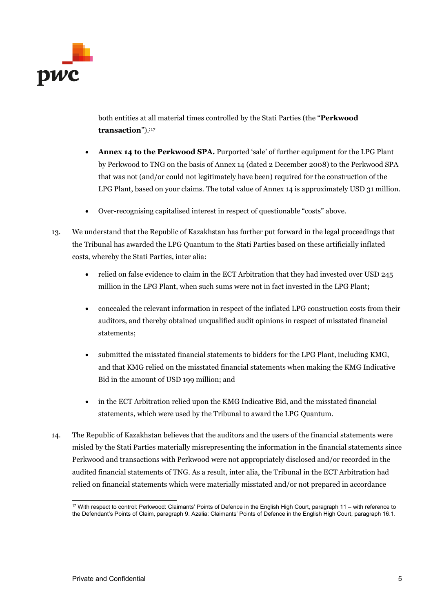

both entities at all material times controlled by the Stati Parties (the "**Perkwood transaction**").;[17](#page-4-0)

- **Annex 14 to the Perkwood SPA.** Purported 'sale' of further equipment for the LPG Plant by Perkwood to TNG on the basis of Annex 14 (dated 2 December 2008) to the Perkwood SPA that was not (and/or could not legitimately have been) required for the construction of the LPG Plant, based on your claims. The total value of Annex 14 is approximately USD 31 million.
- Over-recognising capitalised interest in respect of questionable "costs" above.
- 13. We understand that the Republic of Kazakhstan has further put forward in the legal proceedings that the Tribunal has awarded the LPG Quantum to the Stati Parties based on these artificially inflated costs, whereby the Stati Parties, inter alia:
	- relied on false evidence to claim in the ECT Arbitration that they had invested over USD 245 million in the LPG Plant, when such sums were not in fact invested in the LPG Plant;
	- concealed the relevant information in respect of the inflated LPG construction costs from their auditors, and thereby obtained unqualified audit opinions in respect of misstated financial statements;
	- submitted the misstated financial statements to bidders for the LPG Plant, including KMG, and that KMG relied on the misstated financial statements when making the KMG Indicative Bid in the amount of USD 199 million; and
	- in the ECT Arbitration relied upon the KMG Indicative Bid, and the misstated financial statements, which were used by the Tribunal to award the LPG Quantum.
- 14. The Republic of Kazakhstan believes that the auditors and the users of the financial statements were misled by the Stati Parties materially misrepresenting the information in the financial statements since Perkwood and transactions with Perkwood were not appropriately disclosed and/or recorded in the audited financial statements of TNG. As a result, inter alia, the Tribunal in the ECT Arbitration had relied on financial statements which were materially misstated and/or not prepared in accordance

<span id="page-4-0"></span> <sup>17</sup> With respect to control: Perkwood: Claimants' Points of Defence in the English High Court, paragraph 11 – with reference to the Defendant's Points of Claim, paragraph 9. Azalia: Claimants' Points of Defence in the English High Court, paragraph 16.1.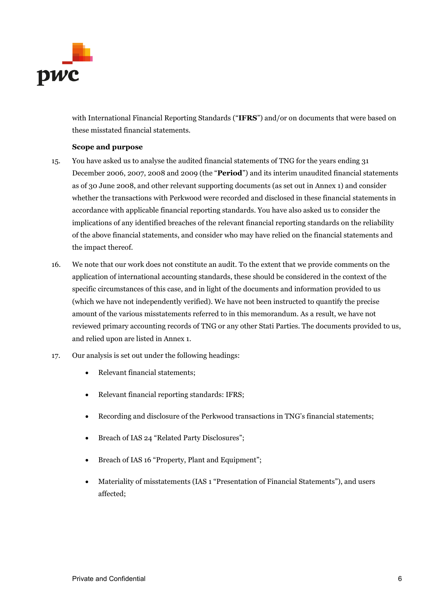

with International Financial Reporting Standards ("**IFRS**") and/or on documents that were based on these misstated financial statements.

#### **Scope and purpose**

- 15. You have asked us to analyse the audited financial statements of TNG for the years ending 31 December 2006, 2007, 2008 and 2009 (the "**Period**") and its interim unaudited financial statements as of 30 June 2008, and other relevant supporting documents (as set out in Annex 1) and consider whether the transactions with Perkwood were recorded and disclosed in these financial statements in accordance with applicable financial reporting standards. You have also asked us to consider the implications of any identified breaches of the relevant financial reporting standards on the reliability of the above financial statements, and consider who may have relied on the financial statements and the impact thereof.
- 16. We note that our work does not constitute an audit. To the extent that we provide comments on the application of international accounting standards, these should be considered in the context of the specific circumstances of this case, and in light of the documents and information provided to us (which we have not independently verified). We have not been instructed to quantify the precise amount of the various misstatements referred to in this memorandum. As a result, we have not reviewed primary accounting records of TNG or any other Stati Parties. The documents provided to us, and relied upon are listed in Annex 1.
- 17. Our analysis is set out under the following headings:
	- Relevant financial statements;
	- Relevant financial reporting standards: IFRS;
	- Recording and disclosure of the Perkwood transactions in TNG's financial statements;
	- Breach of IAS 24 "Related Party Disclosures";
	- Breach of IAS 16 "Property, Plant and Equipment";
	- Materiality of misstatements (IAS 1 "Presentation of Financial Statements"), and users affected;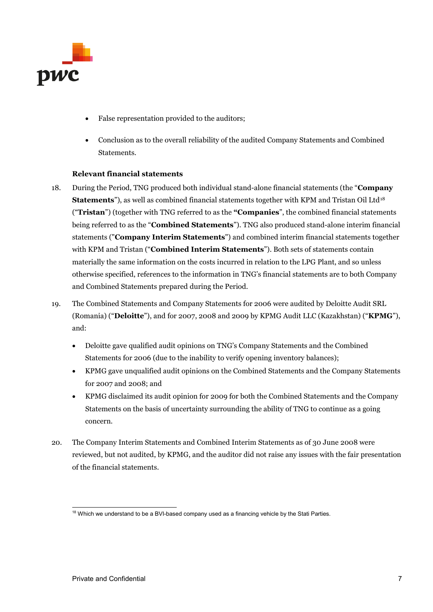

- False representation provided to the auditors;
- Conclusion as to the overall reliability of the audited Company Statements and Combined Statements.

#### **Relevant financial statements**

- 18. During the Period, TNG produced both individual stand-alone financial statements (the "**Company Statements**"), as well as combined financial statements together with KPM and Tristan Oil Ltd<sup>[18](#page-6-0)</sup> ("**Tristan**") (together with TNG referred to as the **"Companies**", the combined financial statements being referred to as the "**Combined Statements**"). TNG also produced stand-alone interim financial statements ("**Company Interim Statements**") and combined interim financial statements together with KPM and Tristan ("**Combined Interim Statements**"). Both sets of statements contain materially the same information on the costs incurred in relation to the LPG Plant, and so unless otherwise specified, references to the information in TNG's financial statements are to both Company and Combined Statements prepared during the Period.
- 19. The Combined Statements and Company Statements for 2006 were audited by Deloitte Audit SRL (Romania) ("**Deloitte**"), and for 2007, 2008 and 2009 by KPMG Audit LLC (Kazakhstan) ("**KPMG**"), and:
	- Deloitte gave qualified audit opinions on TNG's Company Statements and the Combined Statements for 2006 (due to the inability to verify opening inventory balances);
	- KPMG gave unqualified audit opinions on the Combined Statements and the Company Statements for 2007 and 2008; and
	- KPMG disclaimed its audit opinion for 2009 for both the Combined Statements and the Company Statements on the basis of uncertainty surrounding the ability of TNG to continue as a going concern.
- 20. The Company Interim Statements and Combined Interim Statements as of 30 June 2008 were reviewed, but not audited, by KPMG, and the auditor did not raise any issues with the fair presentation of the financial statements.

<span id="page-6-0"></span><sup>&</sup>lt;sup>18</sup> Which we understand to be a BVI-based company used as a financing vehicle by the Stati Parties.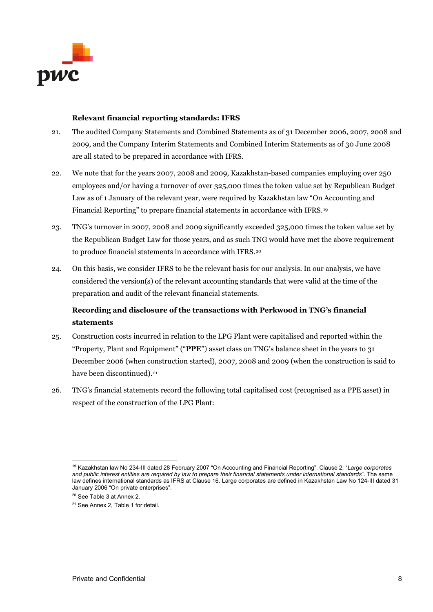

#### **Relevant financial reporting standards: IFRS**

- 21. The audited Company Statements and Combined Statements as of 31 December 2006, 2007, 2008 and 2009, and the Company Interim Statements and Combined Interim Statements as of 30 June 2008 are all stated to be prepared in accordance with IFRS.
- 22. We note that for the years 2007, 2008 and 2009, Kazakhstan-based companies employing over 250 employees and/or having a turnover of over 325,000 times the token value set by Republican Budget Law as of 1 January of the relevant year, were required by Kazakhstan law "On Accounting and Financial Reporting" to prepare financial statements in accordance with IFRS.[19](#page-7-0)
- 23. TNG's turnover in 2007, 2008 and 2009 significantly exceeded 325,000 times the token value set by the Republican Budget Law for those years, and as such TNG would have met the above requirement to produce financial statements in accordance with IFRS.<sup>[20](#page-7-1)</sup>
- 24. On this basis, we consider IFRS to be the relevant basis for our analysis. In our analysis, we have considered the version(s) of the relevant accounting standards that were valid at the time of the preparation and audit of the relevant financial statements.

## **Recording and disclosure of the transactions with Perkwood in TNG's financial statements**

- 25. Construction costs incurred in relation to the LPG Plant were capitalised and reported within the "Property, Plant and Equipment" ("**PPE**") asset class on TNG's balance sheet in the years to 31 December 2006 (when construction started), 2007, 2008 and 2009 (when the construction is said to have been discontinued).<sup>[21](#page-7-2)</sup>
- 26. TNG's financial statements record the following total capitalised cost (recognised as a PPE asset) in respect of the construction of the LPG Plant:

<span id="page-7-0"></span> <sup>19</sup> Kazakhstan law No 234-III dated 28 February 2007 "On Accounting and Financial Reporting", Clause 2: "*Large corporates and public interest entities are required by law to prepare their financial statements under international standards*". The same law defines international standards as IFRS at Clause 16. Large corporates are defined in Kazakhstan Law No 124-III dated 31 January 2006 "On private enterprises".

<sup>&</sup>lt;sup>20</sup> See Table 3 at Annex 2.

<span id="page-7-2"></span><span id="page-7-1"></span><sup>&</sup>lt;sup>21</sup> See Annex 2, Table 1 for detail.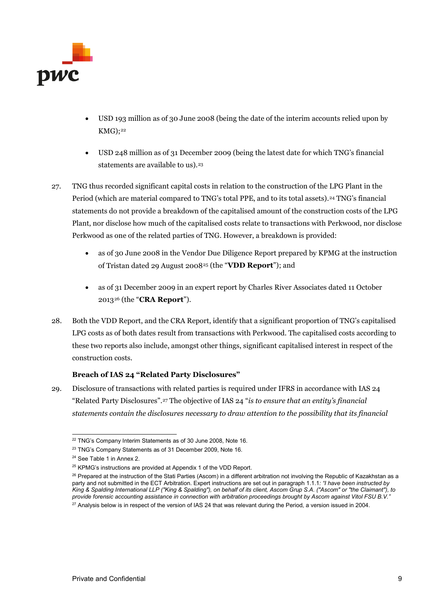

- USD 193 million as of 30 June 2008 (being the date of the interim accounts relied upon by  $KMG)$ ;<sup>[22](#page-8-0)</sup>
- USD 248 million as of 31 December 2009 (being the latest date for which TNG's financial statements are available to us).<sup>[23](#page-8-1)</sup>
- 27. TNG thus recorded significant capital costs in relation to the construction of the LPG Plant in the Period (which are material compared to TNG's total PPE, and to its total assets).<sup>[24](#page-8-2)</sup> TNG's financial statements do not provide a breakdown of the capitalised amount of the construction costs of the LPG Plant, nor disclose how much of the capitalised costs relate to transactions with Perkwood, nor disclose Perkwood as one of the related parties of TNG. However, a breakdown is provided:
	- as of 30 June 2008 in the Vendor Due Diligence Report prepared by KPMG at the instruction of Tristan dated 29 August 2008[25](#page-8-3) (the "**VDD Report**"); and
	- as of 31 December 2009 in an expert report by Charles River Associates dated 11 October 2013[26](#page-8-4) (the "**CRA Report**").
- 28. Both the VDD Report, and the CRA Report, identify that a significant proportion of TNG's capitalised LPG costs as of both dates result from transactions with Perkwood. The capitalised costs according to these two reports also include, amongst other things, significant capitalised interest in respect of the construction costs.

#### **Breach of IAS 24 "Related Party Disclosures"**

29. Disclosure of transactions with related parties is required under IFRS in accordance with IAS 24 "Related Party Disclosures".[27](#page-8-5) The objective of IAS 24 "*is to ensure that an entity's financial statements contain the disclosures necessary to draw attention to the possibility that its financial* 

<span id="page-8-0"></span><sup>&</sup>lt;sup>22</sup> TNG's Company Interim Statements as of 30 June 2008, Note 16.

<span id="page-8-1"></span><sup>&</sup>lt;sup>23</sup> TNG's Company Statements as of 31 December 2009, Note 16.

<span id="page-8-2"></span><sup>24</sup> See Table 1 in Annex 2.

<sup>&</sup>lt;sup>25</sup> KPMG's instructions are provided at Appendix 1 of the VDD Report.

<span id="page-8-5"></span><span id="page-8-4"></span><span id="page-8-3"></span><sup>&</sup>lt;sup>26</sup> Prepared at the instruction of the Stati Parties (Ascom) in a different arbitration not involving the Republic of Kazakhstan as a party and not submitted in the ECT Arbitration. Expert instructions are set out in paragraph 1.1.1*: "I have been instructed by King & Spalding International LLP ("King & Spalding"), on behalf of its client, Ascom Grup S.A. ("Ascom" or "the Claimant"), to provide forensic accounting assistance in connection with arbitration proceedings brought by Ascom against Vitol FSU B.V."*  $27$  Analysis below is in respect of the version of IAS 24 that was relevant during the Period, a version issued in 2004.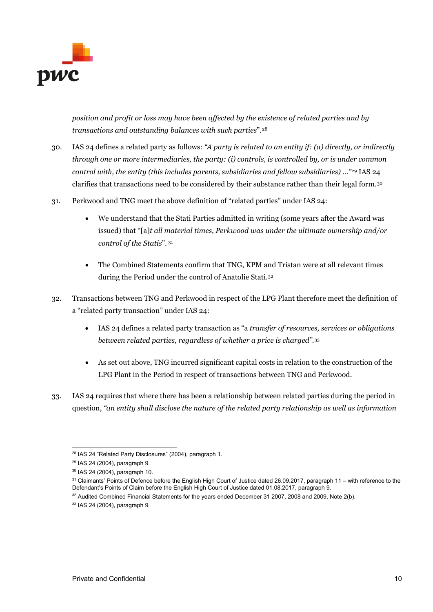

*position and profit or loss may have been affected by the existence of related parties and by transactions and outstanding balances with such parties*".[28](#page-9-0)

- 30. IAS 24 defines a related party as follows: *"A party is related to an entity if: (a) directly, or indirectly through one or more intermediaries, the party: (i) controls, is controlled by, or is under common control with, the entity (this includes parents, subsidiaries and fellow subsidiaries) …"*[29](#page-9-1) IAS 24 clarifies that transactions need to be considered by their substance rather than their legal form.[30](#page-9-2)
- 31. Perkwood and TNG meet the above definition of "related parties" under IAS 24:
	- We understand that the Stati Parties admitted in writing (some years after the Award was issued) that "[a]*t all material times, Perkwood was under the ultimate ownership and/or control of the Statis*". [31](#page-9-3)
	- The Combined Statements confirm that TNG, KPM and Tristan were at all relevant times during the Period under the control of Anatolie Stati.[32](#page-9-4)
- 32. Transactions between TNG and Perkwood in respect of the LPG Plant therefore meet the definition of a "related party transaction" under IAS 24:
	- IAS 24 defines a related party transaction as "a *transfer of resources, services or obligations between related parties, regardless of whether a price is charged".*[33](#page-9-5)
	- As set out above, TNG incurred significant capital costs in relation to the construction of the LPG Plant in the Period in respect of transactions between TNG and Perkwood.
- 33. IAS 24 requires that where there has been a relationship between related parties during the period in question, *"an entity shall disclose the nature of the related party relationship as well as information*

<span id="page-9-0"></span> <sup>28</sup> IAS 24 "Related Party Disclosures" (2004), paragraph 1.

<span id="page-9-1"></span><sup>29</sup> IAS 24 (2004), paragraph 9.

<span id="page-9-2"></span><sup>30</sup> IAS 24 (2004), paragraph 10.

<span id="page-9-3"></span><sup>31</sup> Claimants' Points of Defence before the English High Court of Justice dated 26.09.2017, paragraph 11 – with reference to the Defendant's Points of Claim before the English High Court of Justice dated 01.08.2017, paragraph 9.

<sup>32</sup> Audited Combined Financial Statements for the years ended December 31 2007, 2008 and 2009, Note 2(b).

<span id="page-9-5"></span><span id="page-9-4"></span><sup>33</sup> IAS 24 (2004), paragraph 9.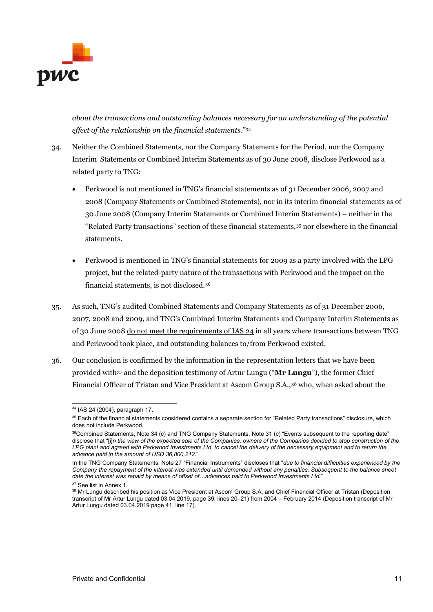

*about the transactions and outstanding balances necessary for an understanding of the potential effect of the relationship on the financial statements."*[34](#page-10-0)

- 34. Neither the Combined Statements, nor the Company Statements for the Period, nor the Company Interim Statements or Combined Interim Statements as of 30 June 2008, disclose Perkwood as a related party to TNG:
	- Perkwood is not mentioned in TNG's financial statements as of 31 December 2006, 2007 and 2008 (Company Statements or Combined Statements), nor in its interim financial statements as of 30 June 2008 (Company Interim Statements or Combined Interim Statements) – neither in the "Related Party transactions" section of these financial statements,[35](#page-10-1) nor elsewhere in the financial statements.
	- Perkwood is mentioned in TNG's financial statements for 2009 as a party involved with the LPG project, but the related-party nature of the transactions with Perkwood and the impact on the financial statements, is not disclosed.[36](#page-10-2)
- 35. As such, TNG's audited Combined Statements and Company Statements as of 31 December 2006, 2007, 2008 and 2009, and TNG's Combined Interim Statements and Company Interim Statements as of 30 June 2008 do not meet the requirements of IAS 24 in all years where transactions between TNG and Perkwood took place, and outstanding balances to/from Perkwood existed.
- 36. Our conclusion is confirmed by the information in the representation letters that we have been provided with[37](#page-10-3) and the deposition testimony of Artur Lungu ("**Mr Lungu**"), the former Chief Financial Officer of Tristan and Vice President at Ascom Group S.A.,[38](#page-10-4) who, when asked about the

 <sup>34</sup> IAS 24 (2004), paragraph 17.

<span id="page-10-1"></span><span id="page-10-0"></span><sup>&</sup>lt;sup>35</sup> Each of the financial statements considered contains a separate section for "Related Party transactions" disclosure, which does not include Perkwood.

<span id="page-10-2"></span><sup>36</sup>Combined Statements, Note 34 (c) and TNG Company Statements, Note 31 (c) "Events subsequent to the reporting date" disclose that "[i]*n the view of the expected sale of the Companies, owners of the Companies decided to stop construction of the LPG plant and agreed with Perkwood Investments Ltd. to cancel the delivery of the necessary equipment and to return the advance paid in the amount of USD 36,800,212*."

In the TNG Company Statements, Note 27 "Financial Instruments" discloses that "*due to financial difficulties experienced by the Company the repayment of the interest was extended until demanded without any penalties. Subsequent to the balance sheet date the interest was repaid by means of offset of…advances paid to Perkwood Investments Ltd.*"

<span id="page-10-3"></span><sup>&</sup>lt;sup>37</sup> See list in Annex 1.

<span id="page-10-4"></span><sup>38</sup> Mr Lungu described his position as Vice President at Ascom Group S.A. and Chief Financial Officer at Tristan (Deposition transcript of Mr Artur Lungu dated 03.04.2019, page 39, lines 20–21) from 2004 – February 2014 (Deposition transcript of Mr Artur Lungu dated 03.04.2019 page 41, line 17).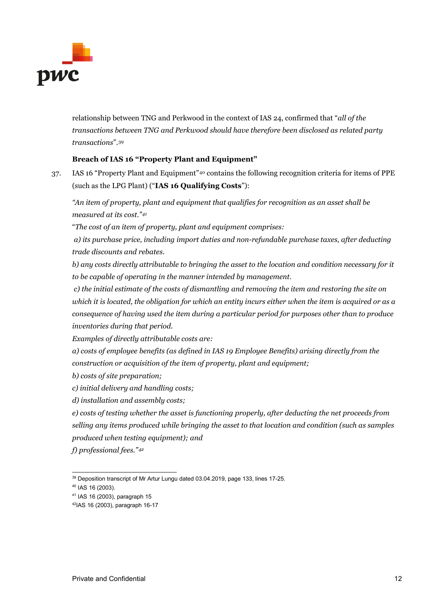

relationship between TNG and Perkwood in the context of IAS 24, confirmed that "*all of the transactions between TNG and Perkwood should have therefore been disclosed as related party transactions*".[39](#page-11-0)

#### **Breach of IAS 16 "Property Plant and Equipment"**

37. IAS 16 "Property Plant and Equipment"[40](#page-11-1) contains the following recognition criteria for items of PPE (such as the LPG Plant) ("**IAS 16 Qualifying Costs**"):

*"An item of property, plant and equipment that qualifies for recognition as an asset shall be measured at its cost."[41](#page-11-2)*

"*The cost of an item of property, plant and equipment comprises:*

*a) its purchase price, including import duties and non-refundable purchase taxes, after deducting trade discounts and rebates.*

*b) any costs directly attributable to bringing the asset to the location and condition necessary for it to be capable of operating in the manner intended by management.*

*c) the initial estimate of the costs of dismantling and removing the item and restoring the site on which it is located, the obligation for which an entity incurs either when the item is acquired or as a consequence of having used the item during a particular period for purposes other than to produce inventories during that period.* 

*Examples of directly attributable costs are:*

*a) costs of employee benefits (as defined in IAS 19 Employee Benefits) arising directly from the construction or acquisition of the item of property, plant and equipment;* 

*b) costs of site preparation;* 

- *c) initial delivery and handling costs;*
- *d) installation and assembly costs;*

*e) costs of testing whether the asset is functioning properly, after deducting the net proceeds from selling any items produced while bringing the asset to that location and condition (such as samples produced when testing equipment); and* 

*f) professional fees."[42](#page-11-3)*

<span id="page-11-0"></span><sup>&</sup>lt;sup>39</sup> Deposition transcript of Mr Artur Lungu dated 03.04.2019, page 133, lines 17-25.

<span id="page-11-1"></span><sup>40</sup> IAS 16 (2003).

<span id="page-11-2"></span><sup>41</sup> IAS 16 (2003), paragraph 15

<span id="page-11-3"></span><sup>42</sup>IAS 16 (2003), paragraph 16-17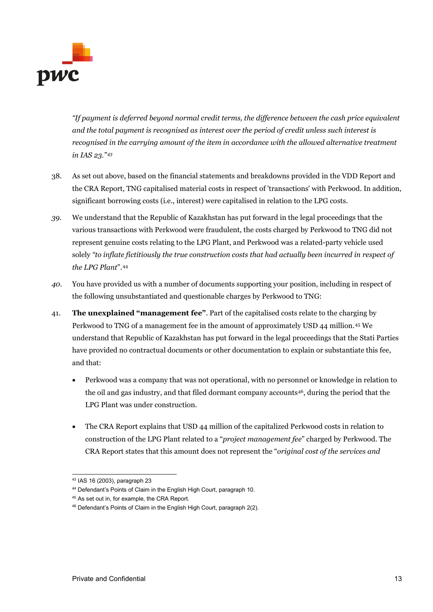

*"If payment is deferred beyond normal credit terms, the difference between the cash price equivalent and the total payment is recognised as interest over the period of credit unless such interest is recognised in the carrying amount of the item in accordance with the allowed alternative treatment in IAS 23."[43](#page-12-0)*

- 38. As set out above, based on the financial statements and breakdowns provided in the VDD Report and the CRA Report, TNG capitalised material costs in respect of 'transactions' with Perkwood. In addition, significant borrowing costs (i.e., interest) were capitalised in relation to the LPG costs.
- *39.* We understand that the Republic of Kazakhstan has put forward in the legal proceedings that the various transactions with Perkwood were fraudulent, the costs charged by Perkwood to TNG did not represent genuine costs relating to the LPG Plant, and Perkwood was a related-party vehicle used solely *"to inflate fictitiously the true construction costs that had actually been incurred in respect of the LPG Plant*".[44](#page-12-1)
- *40.* You have provided us with a number of documents supporting your position, including in respect of the following unsubstantiated and questionable charges by Perkwood to TNG:
- 41. **The unexplained "management fee"**. Part of the capitalised costs relate to the charging by Perkwood to TNG of a management fee in the amount of approximately USD 44 million.[45](#page-12-2) We understand that Republic of Kazakhstan has put forward in the legal proceedings that the Stati Parties have provided no contractual documents or other documentation to explain or substantiate this fee, and that:
	- Perkwood was a company that was not operational, with no personnel or knowledge in relation to the oil and gas industry, and that filed dormant company accounts[46](#page-12-3), during the period that the LPG Plant was under construction.
	- The CRA Report explains that USD 44 million of the capitalized Perkwood costs in relation to construction of the LPG Plant related to a "*project management fee*" charged by Perkwood. The CRA Report states that this amount does not represent the "*original cost of the services and*

<span id="page-12-0"></span> <sup>43</sup> IAS 16 (2003), paragraph 23

<span id="page-12-1"></span><sup>44</sup> Defendant's Points of Claim in the English High Court, paragraph 10.

<span id="page-12-2"></span><sup>45</sup> As set out in, for example, the CRA Report.

<span id="page-12-3"></span><sup>46</sup> Defendant's Points of Claim in the English High Court, paragraph 2(2).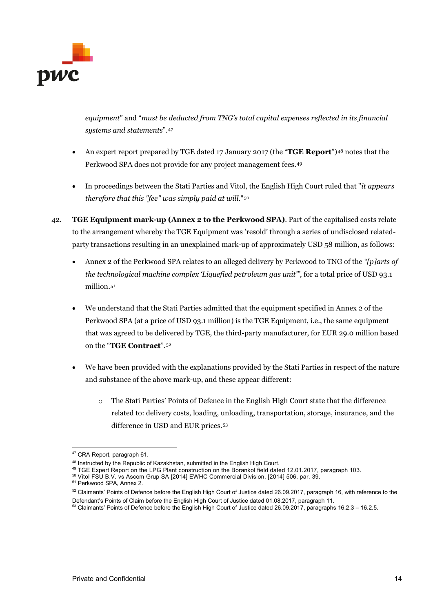

*equipment*" and "*must be deducted from TNG's total capital expenses reflected in its financial systems and statements*".[47](#page-13-0)

- An expert report prepared by TGE dated 17 January 2017 (the "**TGE Report**")[48](#page-13-1) notes that the Perkwood SPA does not provide for any project management fees.[49](#page-13-2)
- In proceedings between the Stati Parties and Vitol, the English High Court ruled that "*it appears therefore that this "fee" was simply paid at will*."[50](#page-13-3)
- 42. **TGE Equipment mark-up (Annex 2 to the Perkwood SPA)**. Part of the capitalised costs relate to the arrangement whereby the TGE Equipment was 'resold' through a series of undisclosed relatedparty transactions resulting in an unexplained mark-up of approximately USD 58 million, as follows:
	- Annex 2 of the Perkwood SPA relates to an alleged delivery by Perkwood to TNG of the *"[p]arts of the technological machine complex 'Liquefied petroleum gas unit'"*, for a total price of USD 93.1 million.<sup>[51](#page-13-4)</sup>
	- We understand that the Stati Parties admitted that the equipment specified in Annex 2 of the Perkwood SPA (at a price of USD 93.1 million) is the TGE Equipment, i.e., the same equipment that was agreed to be delivered by TGE, the third-party manufacturer, for EUR 29.0 million based on the "**TGE Contract**".[52](#page-13-5)
	- We have been provided with the explanations provided by the Stati Parties in respect of the nature and substance of the above mark-up, and these appear different:
		- o The Stati Parties' Points of Defence in the English High Court state that the difference related to: delivery costs, loading, unloading, transportation, storage, insurance, and the difference in USD and EUR prices.[53](#page-13-6)

<span id="page-13-0"></span> <sup>47</sup> CRA Report, paragraph 61.

<sup>48</sup> Instructed by the Republic of Kazakhstan, submitted in the English High Court.

<span id="page-13-2"></span><span id="page-13-1"></span><sup>49</sup> TGE Expert Report on the LPG Plant construction on the Borankol field dated 12.01.2017, paragraph 103.

<span id="page-13-3"></span><sup>&</sup>lt;sup>50</sup> Vitol FSU B.V. vs Ascom Grup SA [2014] EWHC Commercial Division, [2014] 506, par. 39.

<span id="page-13-4"></span><sup>51</sup> Perkwood SPA, Annex 2.

<span id="page-13-5"></span> $52$  Claimants' Points of Defence before the English High Court of Justice dated 26.09.2017, paragraph 16, with reference to the Defendant's Points of Claim before the English High Court of Justice dated 01.08.2017, paragraph 11.

<span id="page-13-6"></span><sup>53</sup> Claimants' Points of Defence before the English High Court of Justice dated 26.09.2017, paragraphs 16.2.3 – 16.2.5.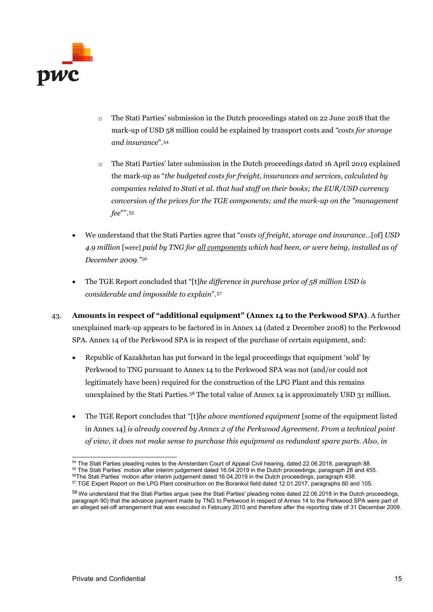

- $\circ$  The Stati Parties' submission in the Dutch proceedings stated on 22 June 2018 that the mark-up of USD 58 million could be explained by transport costs and *"costs for storage and insurance*".[54](#page-14-0)
- $\circ$  The Stati Parties' later submission in the Dutch proceedings dated 16 April 2019 explained the mark-up as "*the budgeted costs for freight, insurances and services, calculated by companies related to Stati et al. that had staff on their books; the EUR/USD currency conversion of the prices for the TGE components; and the mark-up on the "management fee*"".[55](#page-14-1)
- We understand that the Stati Parties agree that "*costs of freight, storage and insurance…*[of] *USD 4.9 million* [were] *paid by TNG for all components which had been, or were being, installed as of December 2009*.*"[56](#page-14-2)*
- The TGE Report concluded that "[t]*he difference in purchase price of 58 million USD is considerable and impossible to explain*".[57](#page-14-3)
- 43. **Amounts in respect of "additional equipment" (Annex 14 to the Perkwood SPA)**. A further unexplained mark-up appears to be factored in in Annex 14 (dated 2 December 2008) to the Perkwood SPA. Annex 14 of the Perkwood SPA is in respect of the purchase of certain equipment, and:
	- Republic of Kazakhstan has put forward in the legal proceedings that equipment 'sold' by Perkwood to TNG pursuant to Annex 14 to the Perkwood SPA was not (and/or could not legitimately have been) required for the construction of the LPG Plant and this remains unexplained by the Stati Parties.[58](#page-14-4) The total value of Annex 14 is approximately USD 31 million.
	- The TGE Report concludes that "[t]*he above mentioned equipment* [some of the equipment listed in Annex 14] *is already covered by Annex 2 of the Perkwood Agreement. From a technical point of view, it does not make sense to purchase this equipment as redundant spare parts. Also, in*

<span id="page-14-1"></span><span id="page-14-0"></span><sup>&</sup>lt;sup>54</sup> The Stati Parties pleading notes to the Amsterdam Court of Appeal Civil hearing, dated 22.06.2018, paragraph 88.<br><sup>55</sup> The Stati Parties' motion after interim judgement dated 16.04.2019 in the Dutch proceedings, paragr <sup>56</sup>The Stati Parties' motion after interim judgement dated 16.04.2019 in the Dutch proceedings, paragraph 438.

<span id="page-14-3"></span><span id="page-14-2"></span><sup>57</sup> TGE Expert Report on the LPG Plant construction on the Borankol field dated 12.01.2017, paragraphs 60 and 105.

<span id="page-14-4"></span><sup>58</sup> We understand that the Stati Parties argue (see the Stati Parties' pleading notes dated 22.06.2018 in the Dutch proceedings, paragraph 90) that the advance payment made by TNG to Perkwood in respect of Annex 14 to the Perkwood SPA were part of an alleged set-off arrangement that was executed in February 2010 and therefore after the reporting date of 31 December 2009.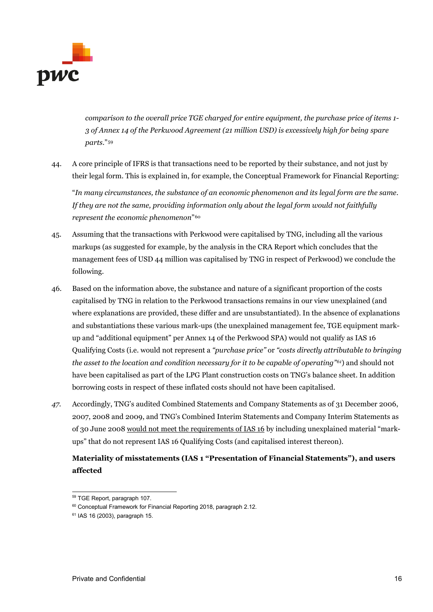

*comparison to the overall price TGE charged for entire equipment, the purchase price of items 1- 3 of Annex 14 of the Perkwood Agreement (21 million USD) is excessively high for being spare parts*."[59](#page-15-0)

44. A core principle of IFRS is that transactions need to be reported by their substance, and not just by their legal form. This is explained in, for example, the Conceptual Framework for Financial Reporting:

"*In many circumstances, the substance of an economic phenomenon and its legal form are the same. If they are not the same, providing information only about the legal form would not faithfully represent the economic phenomenon*"[60](#page-15-1)

- 45. Assuming that the transactions with Perkwood were capitalised by TNG, including all the various markups (as suggested for example, by the analysis in the CRA Report which concludes that the management fees of USD 44 million was capitalised by TNG in respect of Perkwood) we conclude the following.
- 46. Based on the information above, the substance and nature of a significant proportion of the costs capitalised by TNG in relation to the Perkwood transactions remains in our view unexplained (and where explanations are provided, these differ and are unsubstantiated). In the absence of explanations and substantiations these various mark-ups (the unexplained management fee, TGE equipment markup and "additional equipment" per Annex 14 of the Perkwood SPA) would not qualify as IAS 16 Qualifying Costs (i.e. would not represent a *"purchase price"* or *"costs directly attributable to bringing the asset to the location and condition necessary for it to be capable of operating"[61](#page-15-2)*) and should not have been capitalised as part of the LPG Plant construction costs on TNG's balance sheet. In addition borrowing costs in respect of these inflated costs should not have been capitalised.
- *47.* Accordingly, TNG's audited Combined Statements and Company Statements as of 31 December 2006, 2007, 2008 and 2009, and TNG's Combined Interim Statements and Company Interim Statements as of 30 June 2008 would not meet the requirements of IAS 16 by including unexplained material "markups" that do not represent IAS 16 Qualifying Costs (and capitalised interest thereon).

# **Materiality of misstatements (IAS 1 "Presentation of Financial Statements"), and users affected**

<span id="page-15-0"></span> <sup>59</sup> TGE Report, paragraph 107.

<span id="page-15-1"></span><sup>60</sup> Conceptual Framework for Financial Reporting 2018, paragraph 2.12.

<span id="page-15-2"></span><sup>61</sup> IAS 16 (2003), paragraph 15.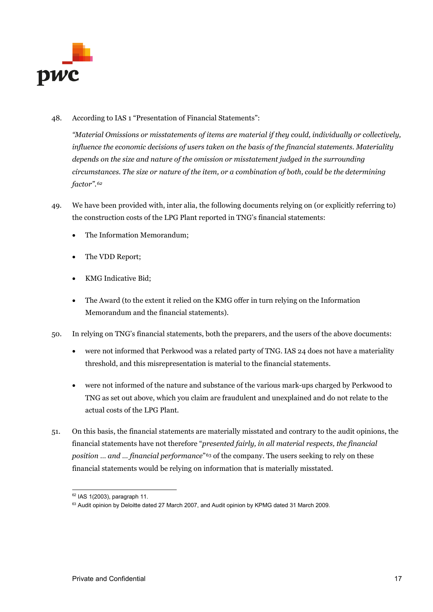

48. According to IAS 1 "Presentation of Financial Statements":

*"Material Omissions or misstatements of items are material if they could, individually or collectively, influence the economic decisions of users taken on the basis of the financial statements. Materiality depends on the size and nature of the omission or misstatement judged in the surrounding circumstances. The size or nature of the item, or a combination of both, could be the determining factor".[62](#page-16-0)*

- 49. We have been provided with, inter alia, the following documents relying on (or explicitly referring to) the construction costs of the LPG Plant reported in TNG's financial statements:
	- The Information Memorandum;
	- The VDD Report;
	- KMG Indicative Bid;
	- The Award (to the extent it relied on the KMG offer in turn relying on the Information Memorandum and the financial statements).
- 50. In relying on TNG's financial statements, both the preparers, and the users of the above documents:
	- were not informed that Perkwood was a related party of TNG. IAS 24 does not have a materiality threshold, and this misrepresentation is material to the financial statements.
	- were not informed of the nature and substance of the various mark-ups charged by Perkwood to TNG as set out above, which you claim are fraudulent and unexplained and do not relate to the actual costs of the LPG Plant.
- 51. On this basis, the financial statements are materially misstated and contrary to the audit opinions, the financial statements have not therefore "*presented fairly, in all material respects, the financial position ... and ... financial performance*"<sup>[63](#page-16-1)</sup> of the company. The users seeking to rely on these financial statements would be relying on information that is materially misstated.

 <sup>62</sup> IAS 1(2003), paragraph 11.

<span id="page-16-1"></span><span id="page-16-0"></span><sup>&</sup>lt;sup>63</sup> Audit opinion by Deloitte dated 27 March 2007, and Audit opinion by KPMG dated 31 March 2009.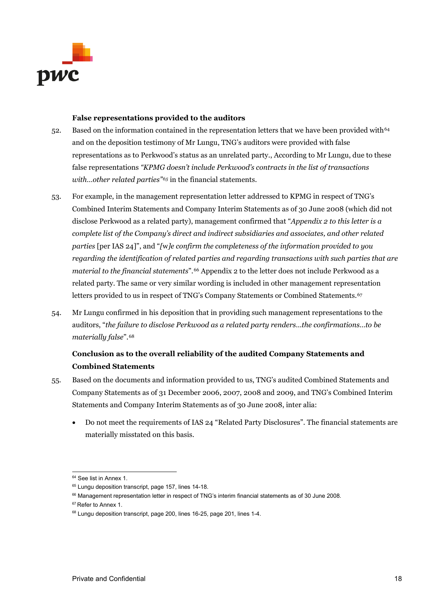

#### **False representations provided to the auditors**

- 52. Based on the information contained in the representation letters that we have been provided with<sup>[64](#page-17-0)</sup> and on the deposition testimony of Mr Lungu, TNG's auditors were provided with false representations as to Perkwood's status as an unrelated party., According to Mr Lungu, due to these false representations *"KPMG doesn't include Perkwood's contracts in the list of transactions with…other related parties"[65](#page-17-1)* in the financial statements.
- 53. For example, in the management representation letter addressed to KPMG in respect of TNG's Combined Interim Statements and Company Interim Statements as of 30 June 2008 (which did not disclose Perkwood as a related party), management confirmed that "*Appendix 2 to this letter is a complete list of the Company's direct and indirect subsidiaries and associates, and other related parties* [per IAS 24]", and "*[*w*]e confirm the completeness of the information provided to you regarding the identification of related parties and regarding transactions with such parties that are material to the financial statements*".[66](#page-17-2) Appendix 2 to the letter does not include Perkwood as a related party. The same or very similar wording is included in other management representation letters provided to us in respect of TNG's Company Statements or Combined Statements.<sup>[67](#page-17-3)</sup>
- 54. Mr Lungu confirmed in his deposition that in providing such management representations to the auditors, "*the failure to disclose Perkwood as a related party renders…the confirmations…to be materially false*".[68](#page-17-4)

## **Conclusion as to the overall reliability of the audited Company Statements and Combined Statements**

- 55. Based on the documents and information provided to us, TNG's audited Combined Statements and Company Statements as of 31 December 2006, 2007, 2008 and 2009, and TNG's Combined Interim Statements and Company Interim Statements as of 30 June 2008, inter alia:
	- Do not meet the requirements of IAS 24 "Related Party Disclosures". The financial statements are materially misstated on this basis.

<span id="page-17-1"></span><span id="page-17-0"></span> <sup>64</sup> See list in Annex 1.

<sup>&</sup>lt;sup>65</sup> Lungu deposition transcript, page 157, lines 14-18.

<sup>66</sup> Management representation letter in respect of TNG's interim financial statements as of 30 June 2008.

<span id="page-17-3"></span><span id="page-17-2"></span><sup>&</sup>lt;sup>67</sup> Refer to Annex 1.

<span id="page-17-4"></span><sup>&</sup>lt;sup>68</sup> Lungu deposition transcript, page 200, lines 16-25, page 201, lines 1-4.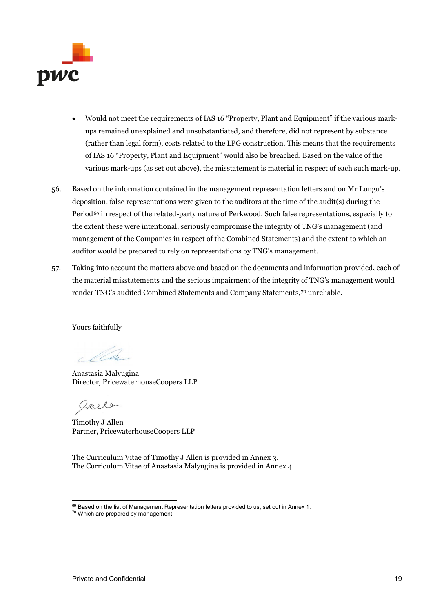

- Would not meet the requirements of IAS 16 "Property, Plant and Equipment" if the various markups remained unexplained and unsubstantiated, and therefore, did not represent by substance (rather than legal form), costs related to the LPG construction. This means that the requirements of IAS 16 "Property, Plant and Equipment" would also be breached. Based on the value of the various mark-ups (as set out above), the misstatement is material in respect of each such mark-up.
- 56. Based on the information contained in the management representation letters and on Mr Lungu's deposition, false representations were given to the auditors at the time of the audit(s) during the Period<sup>[69](#page-18-0)</sup> in respect of the related-party nature of Perkwood. Such false representations, especially to the extent these were intentional, seriously compromise the integrity of TNG's management (and management of the Companies in respect of the Combined Statements) and the extent to which an auditor would be prepared to rely on representations by TNG's management.
- 57. Taking into account the matters above and based on the documents and information provided, each of the material misstatements and the serious impairment of the integrity of TNG's management would render TNG's audited Combined Statements and Company Statements,[70](#page-18-1) unreliable.

Yours faithfully

*VLe* 

Anastasia Malyugina Director, PricewaterhouseCoopers LLP

goele

Timothy J Allen Partner, PricewaterhouseCoopers LLP

The Curriculum Vitae of Timothy J Allen is provided in Annex 3. The Curriculum Vitae of Anastasia Malyugina is provided in Annex 4.

<span id="page-18-1"></span><span id="page-18-0"></span><sup>69</sup> Based on the list of Management Representation letters provided to us, set out in Annex 1. <sup>70</sup> Which are prepared by management.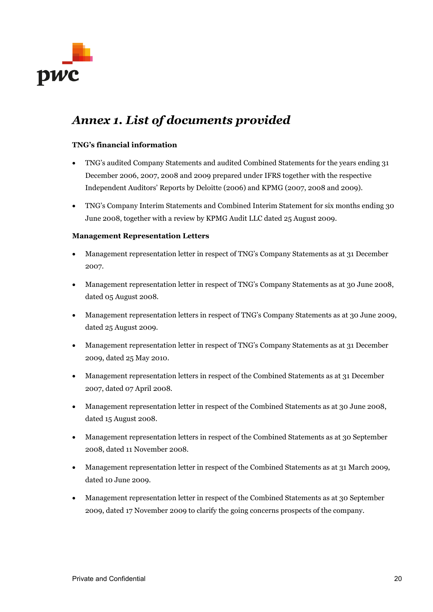

# *Annex 1. List of documents provided*

#### **TNG's financial information**

- TNG's audited Company Statements and audited Combined Statements for the years ending 31 December 2006, 2007, 2008 and 2009 prepared under IFRS together with the respective Independent Auditors' Reports by Deloitte (2006) and KPMG (2007, 2008 and 2009).
- TNG's Company Interim Statements and Combined Interim Statement for six months ending 30 June 2008, together with a review by KPMG Audit LLC dated 25 August 2009.

#### **Management Representation Letters**

- Management representation letter in respect of TNG's Company Statements as at 31 December 2007.
- Management representation letter in respect of TNG's Company Statements as at 30 June 2008, dated 05 August 2008.
- Management representation letters in respect of TNG's Company Statements as at 30 June 2009, dated 25 August 2009.
- Management representation letter in respect of TNG's Company Statements as at 31 December 2009, dated 25 May 2010.
- Management representation letters in respect of the Combined Statements as at 31 December 2007, dated 07 April 2008.
- Management representation letter in respect of the Combined Statements as at 30 June 2008, dated 15 August 2008.
- Management representation letters in respect of the Combined Statements as at 30 September 2008, dated 11 November 2008.
- Management representation letter in respect of the Combined Statements as at 31 March 2009, dated 10 June 2009.
- Management representation letter in respect of the Combined Statements as at 30 September 2009, dated 17 November 2009 to clarify the going concerns prospects of the company.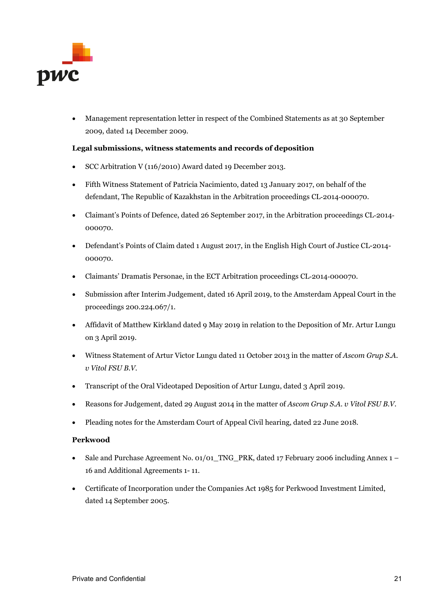

• Management representation letter in respect of the Combined Statements as at 30 September 2009, dated 14 December 2009.

#### **Legal submissions, witness statements and records of deposition**

- SCC Arbitration V (116/2010) Award dated 19 December 2013.
- Fifth Witness Statement of Patricia Nacimiento, dated 13 January 2017, on behalf of the defendant, The Republic of Kazakhstan in the Arbitration proceedings CL‐2014‐000070.
- Claimant's Points of Defence, dated 26 September 2017, in the Arbitration proceedings CL-2014-000070.
- Defendant's Points of Claim dated 1 August 2017, in the English High Court of Justice CL-2014- 000070.
- Claimants' Dramatis Personae, in the ECT Arbitration proceedings CL‐2014‐000070.
- Submission after Interim Judgement, dated 16 April 2019, to the Amsterdam Appeal Court in the proceedings 200.224.067/1.
- Affidavit of Matthew Kirkland dated 9 May 2019 in relation to the Deposition of Mr. Artur Lungu on 3 April 2019.
- Witness Statement of Artur Victor Lungu dated 11 October 2013 in the matter of *Ascom Grup S.A. v Vitol FSU B.V.*
- Transcript of the Oral Videotaped Deposition of Artur Lungu, dated 3 April 2019.
- Reasons for Judgement, dated 29 August 2014 in the matter of *Ascom Grup S.A. v Vitol FSU B.V.*
- Pleading notes for the Amsterdam Court of Appeal Civil hearing, dated 22 June 2018.

#### **Perkwood**

- Sale and Purchase Agreement No. 01/01\_TNG\_PRK, dated 17 February 2006 including Annex 1 16 and Additional Agreements 1- 11.
- Certificate of Incorporation under the Companies Act 1985 for Perkwood Investment Limited, dated 14 September 2005.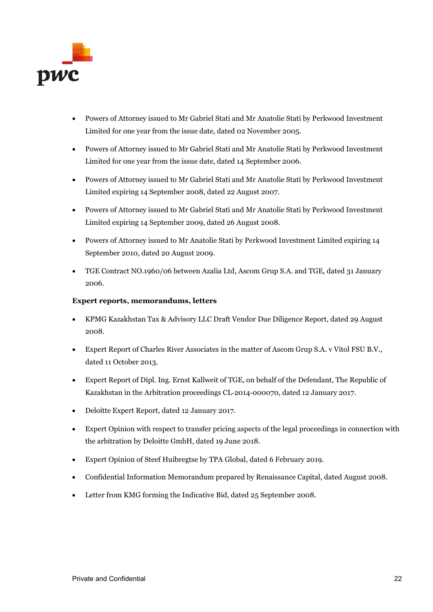

- Powers of Attorney issued to Mr Gabriel Stati and Mr Anatolie Stati by Perkwood Investment Limited for one year from the issue date, dated 02 November 2005.
- Powers of Attorney issued to Mr Gabriel Stati and Mr Anatolie Stati by Perkwood Investment Limited for one year from the issue date, dated 14 September 2006.
- Powers of Attorney issued to Mr Gabriel Stati and Mr Anatolie Stati by Perkwood Investment Limited expiring 14 September 2008, dated 22 August 2007.
- Powers of Attorney issued to Mr Gabriel Stati and Mr Anatolie Stati by Perkwood Investment Limited expiring 14 September 2009, dated 26 August 2008.
- Powers of Attorney issued to Mr Anatolie Stati by Perkwood Investment Limited expiring 14 September 2010, dated 20 August 2009.
- TGE Contract NO.1960/06 between Azalia Ltd, Ascom Grup S.A. and TGE, dated 31 January 2006.

#### **Expert reports, memorandums, letters**

- KPMG Kazakhstan Tax & Advisory LLC Draft Vendor Due Diligence Report, dated 29 August 2008.
- Expert Report of Charles River Associates in the matter of Ascom Grup S.A. v Vitol FSU B.V., dated 11 October 2013.
- Expert Report of Dipl. Ing. Ernst Kallweit of TGE, on behalf of the Defendant, The Republic of Kazakhstan in the Arbitration proceedings CL‐2014‐000070, dated 12 January 2017.
- Deloitte Expert Report, dated 12 January 2017.
- Expert Opinion with respect to transfer pricing aspects of the legal proceedings in connection with the arbitration by Deloitte GmbH, dated 19 June 2018.
- Expert Opinion of Steef Huibregtse by TPA Global, dated 6 February 2019.
- Confidential Information Memorandum prepared by Renaissance Capital, dated August 2008.
- Letter from KMG forming the Indicative Bid, dated 25 September 2008.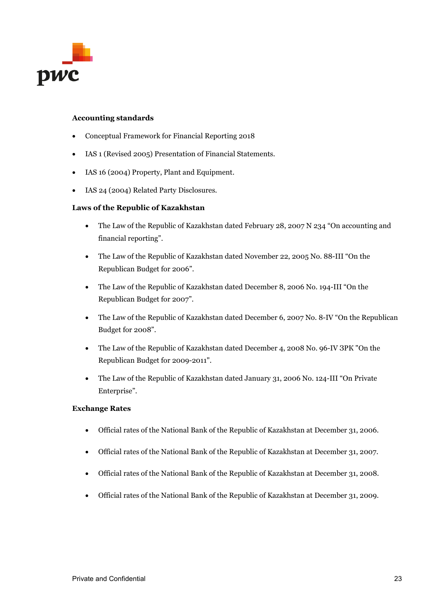

#### **Accounting standards**

- Conceptual Framework for Financial Reporting 2018
- IAS 1 (Revised 2005) Presentation of Financial Statements.
- IAS 16 (2004) Property, Plant and Equipment.
- IAS 24 (2004) Related Party Disclosures.

#### **Laws of the Republic of Kazakhstan**

- The Law of the Republic of Kazakhstan dated February 28, 2007 N 234 "On accounting and financial reporting".
- The Law of the Republic of Kazakhstan dated November 22, 2005 No. 88-III "On the Republican Budget for 2006".
- The Law of the Republic of Kazakhstan dated December 8, 2006 No. 194-III "On the Republican Budget for 2007".
- The Law of the Republic of Kazakhstan dated December 6, 2007 No. 8-IV "On the Republican Budget for 2008".
- The Law of the Republic of Kazakhstan dated December 4, 2008 No. 96-IV 3PK "On the Republican Budget for 2009-2011".
- The Law of the Republic of Kazakhstan dated January 31, 2006 No. 124-III "On Private Enterprise".

#### **Exchange Rates**

- Official rates of the National Bank of the Republic of Kazakhstan at December 31, 2006.
- Official rates of the National Bank of the Republic of Kazakhstan at December 31, 2007.
- Official rates of the National Bank of the Republic of Kazakhstan at December 31, 2008.
- Official rates of the National Bank of the Republic of Kazakhstan at December 31, 2009.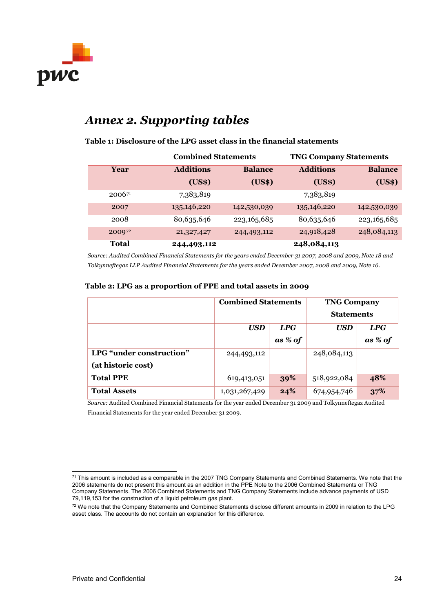

# *Annex 2. Supporting tables*

#### **Table 1: Disclosure of the LPG asset class in the financial statements**

|              | <b>Combined Statements</b> |                | <b>TNG Company Statements</b> |                |  |
|--------------|----------------------------|----------------|-------------------------------|----------------|--|
| Year         | <b>Additions</b>           | <b>Balance</b> | <b>Additions</b>              | <b>Balance</b> |  |
|              | (US\$)                     | (US\$)         | (US\$)                        | (US\$)         |  |
| $2006^{71}$  | 7,383,819                  |                | 7,383,819                     |                |  |
| 2007         | 135, 146, 220              | 142,530,039    | 135, 146, 220                 | 142,530,039    |  |
| 2008         | 80,635,646                 | 223, 165, 685  | 80,635,646                    | 223, 165, 685  |  |
| 200972       | 21,327,427                 | 244,493,112    | 24,918,428                    | 248,084,113    |  |
| <b>Total</b> | 244,493,112                |                | 248,084,113                   |                |  |

| <b>Total</b>                                                                                                     | 244,493,112 |            |         | 248,084,113       |         |  |  |  |
|------------------------------------------------------------------------------------------------------------------|-------------|------------|---------|-------------------|---------|--|--|--|
| Source: Audited Combined Financial Statements for the years ended December 31 2007, 2008 and 2009, Note 18 and   |             |            |         |                   |         |  |  |  |
| Tolkynneftegaz LLP Audited Financial Statements for the years ended December 2007, 2008 and 2009, Note 16.       |             |            |         |                   |         |  |  |  |
| Table 2: LPG as a proportion of PPE and total assets in 2009<br><b>Combined Statements</b><br><b>TNG Company</b> |             |            |         |                   |         |  |  |  |
|                                                                                                                  |             |            |         | <b>Statements</b> |         |  |  |  |
|                                                                                                                  |             | <b>USD</b> | LPG     | <b>USD</b>        | LPG     |  |  |  |
|                                                                                                                  |             |            |         |                   |         |  |  |  |
|                                                                                                                  |             |            | as % of |                   | as % of |  |  |  |

*Source:* Audited Combined Financial Statements for the year ended December 31 2009 and Tolkynneftegaz Audited Financial Statements for the year ended December 31 2009.

**Total PPE** 619,413,051 **39%** 518,922,084 **48% Total Assets** 1,031,267,429 **24%** 674,954,746 **37%**

**(at historic cost)**

<span id="page-23-0"></span> $^{\text{71}}$  This amount is included as a comparable in the 2007 TNG Company Statements and Combined Statements. We note that the 2006 statements do not present this amount as an addition in the PPE Note to the 2006 Combined Statements or TNG Company Statements. The 2006 Combined Statements and TNG Company Statements include advance payments of USD 79,119,153 for the construction of a liquid petroleum gas plant.

<span id="page-23-1"></span><sup>&</sup>lt;sup>72</sup> We note that the Company Statements and Combined Statements disclose different amounts in 2009 in relation to the LPG asset class. The accounts do not contain an explanation for this difference.